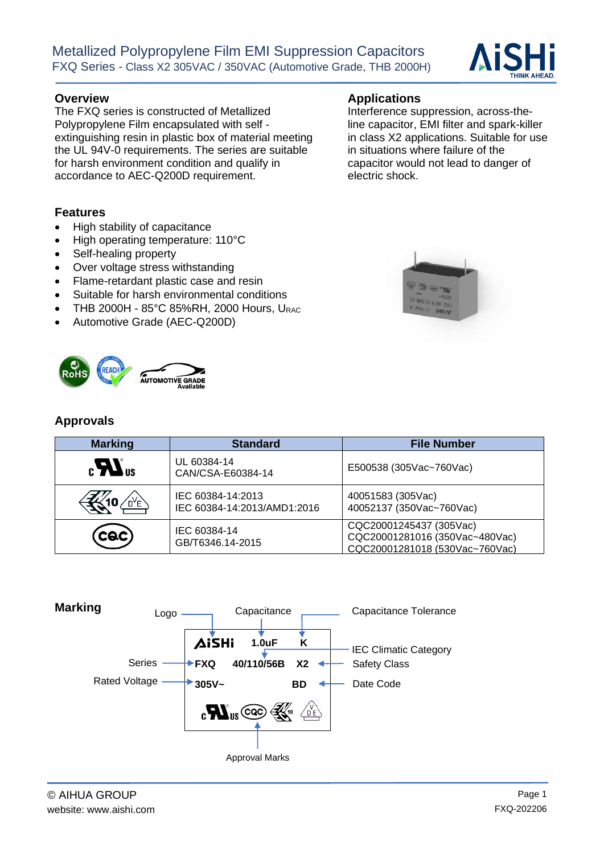## **Overview Applications**

The FXQ series is constructed of Metallized Polypropylene Film encapsulated with self extinguishing resin in plastic box of material meeting the UL 94V-0 requirements. The series are suitable for harsh environment condition and qualify in accordance to AEC-Q200D requirement.

## **Features**

- High stability of capacitance
- High operating temperature: 110°C
- Self-healing property
- Over voltage stress withstanding
- Flame-retardant plastic case and resin
- Suitable for harsh environmental conditions

**AUTOMOTIVE GRADE** 

- THB 2000H  $85^{\circ}$ C 85%RH, 2000 Hours, URAC
- Automotive Grade (AEC-Q200D)

## **Approvals**

| <b>Marking</b>        | <b>Standard</b>                                  | <b>File Number</b>                                                                          |  |  |  |  |  |
|-----------------------|--------------------------------------------------|---------------------------------------------------------------------------------------------|--|--|--|--|--|
| $_{c}H$ <sub>us</sub> | UL 60384-14<br>CAN/CSA-E60384-14                 | E500538 (305Vac~760Vac)                                                                     |  |  |  |  |  |
| OYE)                  | IEC 60384-14:2013<br>IEC 60384-14:2013/AMD1:2016 | 40051583 (305Vac)<br>40052137 (350Vac~760Vac)                                               |  |  |  |  |  |
| $(\csc)$              | IEC 60384-14<br>GB/T6346.14-2015                 | CQC20001245437 (305Vac)<br>CQC20001281016 (350Vac~480Vac)<br>CQC20001281018 (530Vac~760Vac) |  |  |  |  |  |





Interference suppression, across-theline capacitor, EMI filter and spark-killer in class X2 applications. Suitable for use

in situations where failure of the capacitor would not lead to danger of

electric shock.

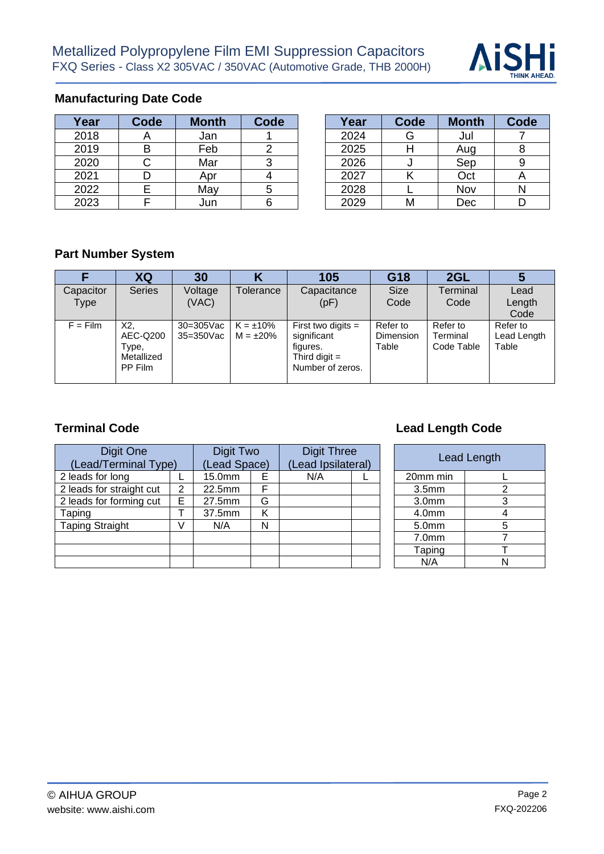

## **Manufacturing Date Code**

| Year | Code | <b>Month</b> | Code | Year | Code | <b>Month</b> | Code |
|------|------|--------------|------|------|------|--------------|------|
| 2018 | ∼    | Jan          |      | 2024 |      | Jul          |      |
| 2019 | Β    | Feb          |      | 2025 |      | Aug          |      |
| 2020 | ◡    | Mar          |      | 2026 |      | Sep          |      |
| 2021 |      | Apr          |      | 2027 |      | Oct          |      |
| 2022 |      | May          |      | 2028 |      | Nov          |      |
| 2023 |      | Jun          |      | 2029 |      | Dec          |      |

| Year | Code | <b>Month</b> | Code | Year | <b>Code</b> | <b>Month</b> | Code |
|------|------|--------------|------|------|-------------|--------------|------|
| 2018 |      | Jan          |      | 2024 | G           | Jul          |      |
| 2019 |      | Feb          |      | 2025 |             | Aug          |      |
| 2020 |      | Mar          |      | 2026 |             | Sep          |      |
| 2021 |      | Apr          |      | 2027 |             | Oct          |      |
| 2022 |      | May          |      | 2028 |             | Nov          |      |
| 2023 |      | Jun          | 6    | 2029 | M           | Dec          |      |

# **Part Number System**

|                   | XQ                                                | 30                        |                                  | 105                                                                                    | G18                                   | 2GL                                | IJ                               |
|-------------------|---------------------------------------------------|---------------------------|----------------------------------|----------------------------------------------------------------------------------------|---------------------------------------|------------------------------------|----------------------------------|
| Capacitor<br>Type | <b>Series</b>                                     | Voltage<br>(VAC)          | Tolerance                        | Capacitance<br>(pF)                                                                    | <b>Size</b><br>Code                   | Terminal<br>Code                   | Lead<br>Length<br>Code           |
| $F = Film$        | X2,<br>AEC-Q200<br>Type,<br>Metallized<br>PP Film | $30=305$ Vac<br>35=350Vac | $K = \pm 10\%$<br>$M = \pm 20\%$ | First two digits $=$<br>significant<br>figures.<br>Third digit $=$<br>Number of zeros. | Refer to<br><b>Dimension</b><br>Table | Refer to<br>Terminal<br>Code Table | Refer to<br>Lead Length<br>Table |

| Digit One<br>(Lead/Terminal Type) |   | Digit Two<br>(Lead Space) |   | <b>Digit Three</b><br>(Lead Ipsilateral) |  |  |                   | Lead Length    |
|-----------------------------------|---|---------------------------|---|------------------------------------------|--|--|-------------------|----------------|
| 2 leads for long                  |   | 15.0mm                    | Е | N/A                                      |  |  | 20mm min          |                |
| 2 leads for straight cut          | 2 | 22.5mm                    | F |                                          |  |  | 3.5 <sub>mm</sub> | $\overline{2}$ |
| 2 leads for forming cut           | E | 27.5mm                    | G |                                          |  |  | 3.0 <sub>mm</sub> | 3              |
| Taping                            |   | 37.5mm                    | κ |                                          |  |  | 4.0 <sub>mm</sub> | 4              |
| <b>Taping Straight</b>            | V | N/A                       | N |                                          |  |  | 5.0mm             | 5              |
|                                   |   |                           |   |                                          |  |  | 7.0 <sub>mm</sub> |                |
|                                   |   |                           |   |                                          |  |  | Taping            |                |
|                                   |   |                           |   |                                          |  |  | N/A               | Ν              |

## **Terminal Code Lead Length Code Lead Length Code**

| <b>Digit Three</b><br>(Lead Ipsilateral) |  |  |                   | <b>Lead Length</b> |
|------------------------------------------|--|--|-------------------|--------------------|
| N/A                                      |  |  | 20mm min          |                    |
|                                          |  |  | 3.5 <sub>mm</sub> |                    |
|                                          |  |  | 3.0 <sub>mm</sub> |                    |
|                                          |  |  | 4.0 <sub>mm</sub> |                    |
|                                          |  |  | 5.0mm             |                    |
|                                          |  |  | 7.0 <sub>mm</sub> |                    |
|                                          |  |  | Taping            |                    |
|                                          |  |  | N/A               |                    |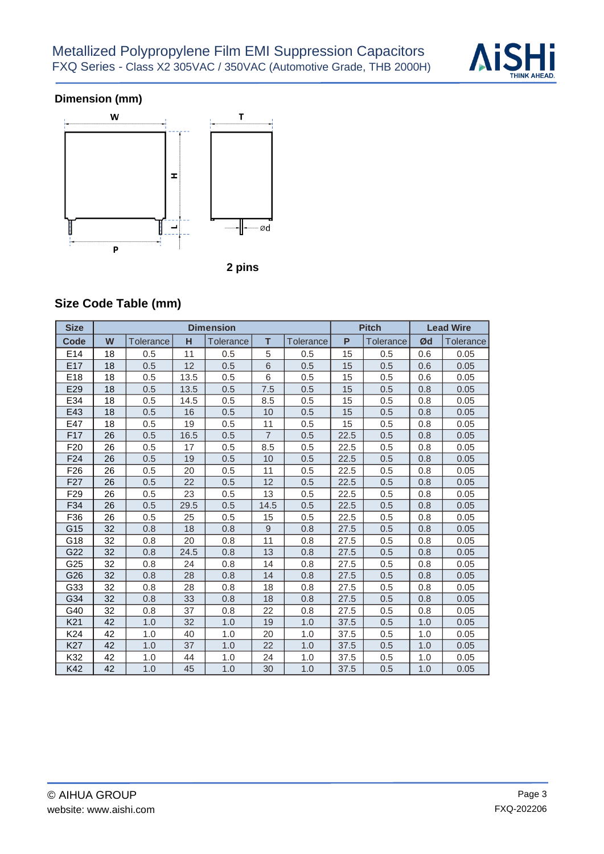

## **Dimension (mm)**





# **Size Code Table (mm)**

| <b>Size</b>     |    |                  |      | <b>Dimension</b> |                 |                  |      | <b>Pitch</b>     | <b>Lead Wire</b> |           |
|-----------------|----|------------------|------|------------------|-----------------|------------------|------|------------------|------------------|-----------|
| Code            | W  | <b>Tolerance</b> | н    | Tolerance        | T               | <b>Tolerance</b> | P    | <b>Tolerance</b> | Ød               | Tolerance |
| E14             | 18 | 0.5              | 11   | 0.5              | 5               | 0.5              | 15   | 0.5              | 0.6              | 0.05      |
| E17             | 18 | 0.5              | 12   | 0.5              | $6\phantom{1}6$ | 0.5              | 15   | 0.5              | 0.6              | 0.05      |
| E <sub>18</sub> | 18 | 0.5              | 13.5 | 0.5              | 6               | 0.5              | 15   | 0.5              | 0.6              | 0.05      |
| E29             | 18 | 0.5              | 13.5 | 0.5              | 7.5             | 0.5              | 15   | 0.5              | 0.8              | 0.05      |
| E34             | 18 | 0.5              | 14.5 | 0.5              | 8.5             | 0.5              | 15   | 0.5              | 0.8              | 0.05      |
| E43             | 18 | 0.5              | 16   | 0.5              | 10              | 0.5              | 15   | 0.5              | 0.8              | 0.05      |
| E47             | 18 | 0.5              | 19   | 0.5              | 11              | 0.5              | 15   | 0.5              | 0.8              | 0.05      |
| F <sub>17</sub> | 26 | 0.5              | 16.5 | 0.5              | $\overline{7}$  | 0.5              | 22.5 | 0.5              | 0.8              | 0.05      |
| F <sub>20</sub> | 26 | 0.5              | 17   | 0.5              | 8.5             | 0.5              | 22.5 | 0.5              | 0.8              | 0.05      |
| F <sub>24</sub> | 26 | 0.5              | 19   | 0.5              | 10              | 0.5              | 22.5 | 0.5              | 0.8              | 0.05      |
| F <sub>26</sub> | 26 | 0.5              | 20   | 0.5              | 11              | 0.5              | 22.5 | 0.5              | 0.8              | 0.05      |
| F <sub>27</sub> | 26 | 0.5              | 22   | 0.5              | 12              | 0.5              | 22.5 | 0.5              | 0.8              | 0.05      |
| F <sub>29</sub> | 26 | 0.5              | 23   | 0.5              | 13              | 0.5              | 22.5 | 0.5              | 0.8              | 0.05      |
| F34             | 26 | 0.5              | 29.5 | 0.5              | 14.5            | 0.5              | 22.5 | 0.5              | 0.8              | 0.05      |
| F36             | 26 | 0.5              | 25   | 0.5              | 15              | 0.5              | 22.5 | 0.5              | 0.8              | 0.05      |
| G15             | 32 | 0.8              | 18   | 0.8              | 9               | 0.8              | 27.5 | 0.5              | 0.8              | 0.05      |
| G18             | 32 | 0.8              | 20   | 0.8              | 11              | 0.8              | 27.5 | 0.5              | 0.8              | 0.05      |
| G22             | 32 | 0.8              | 24.5 | 0.8              | 13              | 0.8              | 27.5 | 0.5              | 0.8              | 0.05      |
| G25             | 32 | 0.8              | 24   | 0.8              | 14              | 0.8              | 27.5 | 0.5              | 0.8              | 0.05      |
| G26             | 32 | 0.8              | 28   | 0.8              | 14              | 0.8              | 27.5 | 0.5              | 0.8              | 0.05      |
| G33             | 32 | 0.8              | 28   | 0.8              | 18              | 0.8              | 27.5 | 0.5              | 0.8              | 0.05      |
| G34             | 32 | 0.8              | 33   | 0.8              | 18              | 0.8              | 27.5 | 0.5              | 0.8              | 0.05      |
| G40             | 32 | 0.8              | 37   | 0.8              | 22              | 0.8              | 27.5 | 0.5              | 0.8              | 0.05      |
| K <sub>21</sub> | 42 | 1.0              | 32   | 1.0              | 19              | 1.0              | 37.5 | 0.5              | 1.0              | 0.05      |
| K <sub>24</sub> | 42 | 1.0              | 40   | 1.0              | 20              | 1.0              | 37.5 | 0.5              | 1.0              | 0.05      |
| <b>K27</b>      | 42 | 1.0              | 37   | 1.0              | 22              | 1.0              | 37.5 | 0.5              | 1.0              | 0.05      |
| K32             | 42 | 1.0              | 44   | 1.0              | 24              | 1.0              | 37.5 | 0.5              | 1.0              | 0.05      |
| K42             | 42 | 1.0              | 45   | 1.0              | 30              | 1.0              | 37.5 | 0.5              | 1.0              | 0.05      |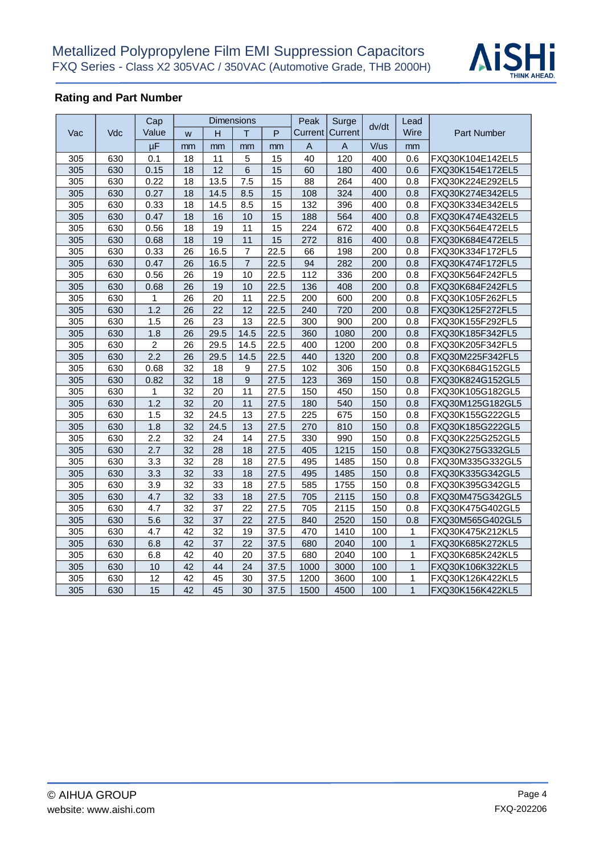

## **Rating and Part Number**

|     |     | Cap             |                 |                 | <b>Dimensions</b> |      | Peak        | Surge                     |       | Lead           |                    |
|-----|-----|-----------------|-----------------|-----------------|-------------------|------|-------------|---------------------------|-------|----------------|--------------------|
| Vac | Vdc | Value           | W               | $\overline{H}$  | T                 | P    | Current     | Current                   | dv/dt | Wire           | <b>Part Number</b> |
|     |     | μF              | mm              | mm              | mm                | mm   | $\mathsf A$ | $\boldsymbol{\mathsf{A}}$ | V/us  | mm             |                    |
| 305 | 630 | 0.1             | 18              | 11              | 5                 | 15   | 40          | 120                       | 400   | 0.6            | FXQ30K104E142EL5   |
| 305 | 630 | 0.15            | 18              | 12              | 6                 | 15   | 60          | 180                       | 400   | 0.6            | FXQ30K154E172EL5   |
| 305 | 630 | 0.22            | 18              | 13.5            | 7.5               | 15   | 88          | 264                       | 400   | 0.8            | FXQ30K224E292EL5   |
| 305 | 630 | 0.27            | 18              | 14.5            | 8.5               | 15   | 108         | 324                       | 400   | 0.8            | FXQ30K274E342EL5   |
| 305 | 630 | 0.33            | 18              | 14.5            | 8.5               | 15   | 132         | 396                       | 400   | 0.8            | FXQ30K334E342EL5   |
| 305 | 630 | 0.47            | 18              | 16              | 10                | 15   | 188         | 564                       | 400   | 0.8            | FXQ30K474E432EL5   |
| 305 | 630 | 0.56            | 18              | 19              | 11                | 15   | 224         | 672                       | 400   | 0.8            | FXQ30K564E472EL5   |
| 305 | 630 | 0.68            | 18              | 19              | 11                | 15   | 272         | 816                       | 400   | 0.8            | FXQ30K684E472EL5   |
| 305 | 630 | 0.33            | 26              | 16.5            | $\overline{7}$    | 22.5 | 66          | 198                       | 200   | 0.8            | FXQ30K334F172FL5   |
| 305 | 630 | 0.47            | 26              | 16.5            | $\overline{7}$    | 22.5 | 94          | 282                       | 200   | 0.8            | FXQ30K474F172FL5   |
| 305 | 630 | 0.56            | 26              | 19              | 10                | 22.5 | 112         | 336                       | 200   | 0.8            | FXQ30K564F242FL5   |
| 305 | 630 | 0.68            | 26              | 19              | 10                | 22.5 | 136         | 408                       | 200   | 0.8            | FXQ30K684F242FL5   |
| 305 | 630 | 1               | 26              | 20              | 11                | 22.5 | 200         | 600                       | 200   | 0.8            | FXQ30K105F262FL5   |
| 305 | 630 | 1.2             | 26              | 22              | 12                | 22.5 | 240         | 720                       | 200   | 0.8            | FXQ30K125F272FL5   |
| 305 | 630 | 1.5             | 26              | 23              | 13                | 22.5 | 300         | 900                       | 200   | 0.8            | FXQ30K155F292FL5   |
| 305 | 630 | 1.8             | 26              | 29.5            | 14.5              | 22.5 | 360         | 1080                      | 200   | 0.8            | FXQ30K185F342FL5   |
| 305 | 630 | $\overline{2}$  | 26              | 29.5            | 14.5              | 22.5 | 400         | 1200                      | 200   | 0.8            | FXQ30K205F342FL5   |
| 305 | 630 | 2.2             | 26              | 29.5            | 14.5              | 22.5 | 440         | 1320                      | 200   | 0.8            | FXQ30M225F342FL5   |
| 305 | 630 | 0.68            | 32              | 18              | 9                 | 27.5 | 102         | 306                       | 150   | 0.8            | FXQ30K684G152GL5   |
| 305 | 630 | 0.82            | 32              | 18              | 9                 | 27.5 | 123         | 369                       | 150   | 0.8            | FXQ30K824G152GL5   |
| 305 | 630 | 1               | 32              | 20              | 11                | 27.5 | 150         | 450                       | 150   | 0.8            | FXQ30K105G182GL5   |
| 305 | 630 | 1.2             | 32              | $\overline{20}$ | 11                | 27.5 | 180         | 540                       | 150   | 0.8            | FXQ30M125G182GL5   |
| 305 | 630 | 1.5             | 32              | 24.5            | 13                | 27.5 | 225         | 675                       | 150   | 0.8            | FXQ30K155G222GL5   |
| 305 | 630 | 1.8             | 32              | 24.5            | 13                | 27.5 | 270         | 810                       | 150   | 0.8            | FXQ30K185G222GL5   |
| 305 | 630 | 2.2             | 32              | 24              | 14                | 27.5 | 330         | 990                       | 150   | 0.8            | FXQ30K225G252GL5   |
| 305 | 630 | 2.7             | 32              | $\overline{28}$ | 18                | 27.5 | 405         | 1215                      | 150   | 0.8            | FXQ30K275G332GL5   |
| 305 | 630 | 3.3             | 32              | 28              | 18                | 27.5 | 495         | 1485                      | 150   | 0.8            | FXQ30M335G332GL5   |
| 305 | 630 | 3.3             | 32              | 33              | 18                | 27.5 | 495         | 1485                      | 150   | 0.8            | FXQ30K335G342GL5   |
| 305 | 630 | 3.9             | 32              | 33              | 18                | 27.5 | 585         | 1755                      | 150   | 0.8            | FXQ30K395G342GL5   |
| 305 | 630 | 4.7             | 32              | 33              | 18                | 27.5 | 705         | 2115                      | 150   | 0.8            | FXQ30M475G342GL5   |
| 305 | 630 | 4.7             | 32              | 37              | 22                | 27.5 | 705         | 2115                      | 150   | 0.8            | FXQ30K475G402GL5   |
| 305 | 630 | 5.6             | 32              | 37              | 22                | 27.5 | 840         | 2520                      | 150   | 0.8            | FXQ30M565G402GL5   |
| 305 | 630 | 4.7             | 42              | 32              | 19                | 37.5 | 470         | 1410                      | 100   | 1              | FXQ30K475K212KL5   |
| 305 | 630 | 6.8             | 42              | 37              | 22                | 37.5 | 680         | 2040                      | 100   | $\mathbf{1}$   | FXQ30K685K272KL5   |
| 305 | 630 | 6.8             | 42              | 40              | 20                | 37.5 | 680         | 2040                      | 100   | 1              | FXQ30K685K242KL5   |
| 305 | 630 | 10              | 42              | 44              | 24                | 37.5 | 1000        | 3000                      | 100   | $\mathbf{1}$   | FXQ30K106K322KL5   |
| 305 | 630 | 12              | 42              | 45              | 30                | 37.5 | 1200        | 3600                      | 100   | 1              | FXQ30K126K422KL5   |
| 305 | 630 | $\overline{15}$ | $\overline{42}$ | $\overline{45}$ | 30                | 37.5 | 1500        | 4500                      | 100   | $\overline{1}$ | FXQ30K156K422KL5   |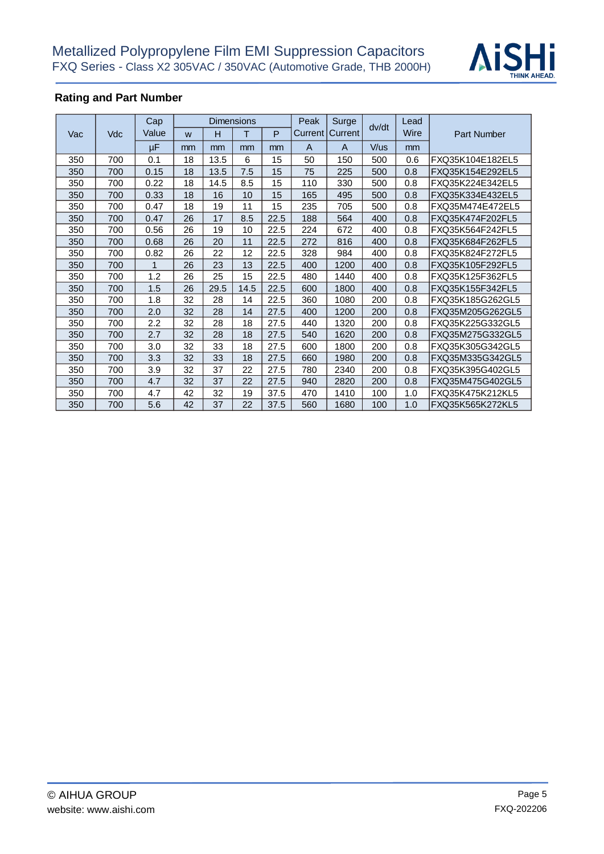

## **Rating and Part Number**

|     |            | Cap   |    | <b>Dimensions</b> |      | Peak | Surge          |         | Lead  |      |                  |
|-----|------------|-------|----|-------------------|------|------|----------------|---------|-------|------|------------------|
| Vac | <b>Vdc</b> | Value | W  | н                 | т    | P    | Current        | Current | dv/dt | Wire | Part Number      |
|     |            | μF    | mm | mm                | mm   | mm   | $\overline{A}$ | A       | V/us  | mm   |                  |
| 350 | 700        | 0.1   | 18 | 13.5              | 6    | 15   | 50             | 150     | 500   | 0.6  | FXQ35K104E182EL5 |
| 350 | 700        | 0.15  | 18 | 13.5              | 7.5  | 15   | 75             | 225     | 500   | 0.8  | FXQ35K154E292EL5 |
| 350 | 700        | 0.22  | 18 | 14.5              | 8.5  | 15   | 110            | 330     | 500   | 0.8  | FXQ35K224E342EL5 |
| 350 | 700        | 0.33  | 18 | 16                | 10   | 15   | 165            | 495     | 500   | 0.8  | FXQ35K334E432EL5 |
| 350 | 700        | 0.47  | 18 | 19                | 11   | 15   | 235            | 705     | 500   | 0.8  | FXQ35M474E472EL5 |
| 350 | 700        | 0.47  | 26 | 17                | 8.5  | 22.5 | 188            | 564     | 400   | 0.8  | FXQ35K474F202FL5 |
| 350 | 700        | 0.56  | 26 | 19                | 10   | 22.5 | 224            | 672     | 400   | 0.8  | FXQ35K564F242FL5 |
| 350 | 700        | 0.68  | 26 | 20                | 11   | 22.5 | 272            | 816     | 400   | 0.8  | FXQ35K684F262FL5 |
| 350 | 700        | 0.82  | 26 | 22                | 12   | 22.5 | 328            | 984     | 400   | 0.8  | FXQ35K824F272FL5 |
| 350 | 700        | 1     | 26 | 23                | 13   | 22.5 | 400            | 1200    | 400   | 0.8  | FXQ35K105F292FL5 |
| 350 | 700        | 1.2   | 26 | 25                | 15   | 22.5 | 480            | 1440    | 400   | 0.8  | FXQ35K125F362FL5 |
| 350 | 700        | 1.5   | 26 | 29.5              | 14.5 | 22.5 | 600            | 1800    | 400   | 0.8  | FXQ35K155F342FL5 |
| 350 | 700        | 1.8   | 32 | 28                | 14   | 22.5 | 360            | 1080    | 200   | 0.8  | FXQ35K185G262GL5 |
| 350 | 700        | 2.0   | 32 | 28                | 14   | 27.5 | 400            | 1200    | 200   | 0.8  | FXQ35M205G262GL5 |
| 350 | 700        | 2.2   | 32 | 28                | 18   | 27.5 | 440            | 1320    | 200   | 0.8  | FXQ35K225G332GL5 |
| 350 | 700        | 2.7   | 32 | 28                | 18   | 27.5 | 540            | 1620    | 200   | 0.8  | FXQ35M275G332GL5 |
| 350 | 700        | 3.0   | 32 | 33                | 18   | 27.5 | 600            | 1800    | 200   | 0.8  | FXQ35K305G342GL5 |
| 350 | 700        | 3.3   | 32 | 33                | 18   | 27.5 | 660            | 1980    | 200   | 0.8  | FXQ35M335G342GL5 |
| 350 | 700        | 3.9   | 32 | 37                | 22   | 27.5 | 780            | 2340    | 200   | 0.8  | FXQ35K395G402GL5 |
| 350 | 700        | 4.7   | 32 | 37                | 22   | 27.5 | 940            | 2820    | 200   | 0.8  | FXQ35M475G402GL5 |
| 350 | 700        | 4.7   | 42 | 32                | 19   | 37.5 | 470            | 1410    | 100   | 1.0  | FXQ35K475K212KL5 |
| 350 | 700        | 5.6   | 42 | 37                | 22   | 37.5 | 560            | 1680    | 100   | 1.0  | FXQ35K565K272KL5 |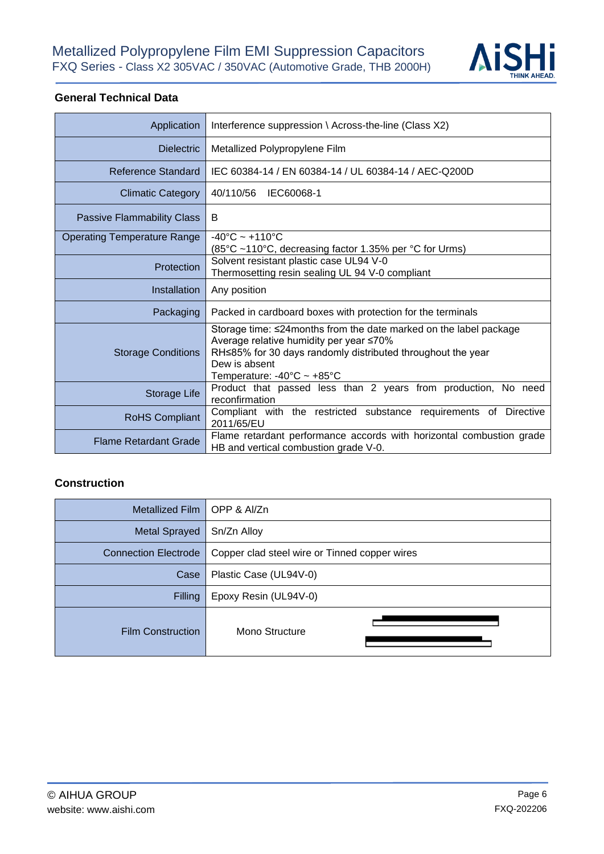

### **General Technical Data**

| Application                        | Interference suppression \ Across-the-line (Class X2)                                                                                                                                                                                          |
|------------------------------------|------------------------------------------------------------------------------------------------------------------------------------------------------------------------------------------------------------------------------------------------|
| <b>Dielectric</b>                  | Metallized Polypropylene Film                                                                                                                                                                                                                  |
| Reference Standard                 | IEC 60384-14 / EN 60384-14 / UL 60384-14 / AEC-Q200D                                                                                                                                                                                           |
| <b>Climatic Category</b>           | 40/110/56<br>IEC60068-1                                                                                                                                                                                                                        |
| <b>Passive Flammability Class</b>  | B                                                                                                                                                                                                                                              |
| <b>Operating Temperature Range</b> | $-40^{\circ}$ C ~ +110 $^{\circ}$ C<br>(85°C ~110°C, decreasing factor 1.35% per °C for Urms)                                                                                                                                                  |
| Protection                         | Solvent resistant plastic case UL94 V-0<br>Thermosetting resin sealing UL 94 V-0 compliant                                                                                                                                                     |
| <b>Installation</b>                | Any position                                                                                                                                                                                                                                   |
| Packaging                          | Packed in cardboard boxes with protection for the terminals                                                                                                                                                                                    |
| <b>Storage Conditions</b>          | Storage time: ≤24months from the date marked on the label package<br>Average relative humidity per year ≤70%<br>RH≤85% for 30 days randomly distributed throughout the year<br>Dew is absent<br>Temperature: $-40^{\circ}$ C ~ $+85^{\circ}$ C |
| Storage Life                       | Product that passed less than 2 years from production, No need<br>reconfirmation                                                                                                                                                               |
| <b>RoHS Compliant</b>              | Compliant with the restricted substance requirements of Directive<br>2011/65/EU                                                                                                                                                                |
| <b>Flame Retardant Grade</b>       | Flame retardant performance accords with horizontal combustion grade<br>HB and vertical combustion grade V-0.                                                                                                                                  |

#### **Construction**

| Metallized Film             | l OPP & Al/Zn                                 |
|-----------------------------|-----------------------------------------------|
| Metal Sprayed               | Sn/Zn Alloy                                   |
| <b>Connection Electrode</b> | Copper clad steel wire or Tinned copper wires |
| Case                        | Plastic Case (UL94V-0)                        |
| Filling                     | Epoxy Resin (UL94V-0)                         |
| <b>Film Construction</b>    | Mono Structure                                |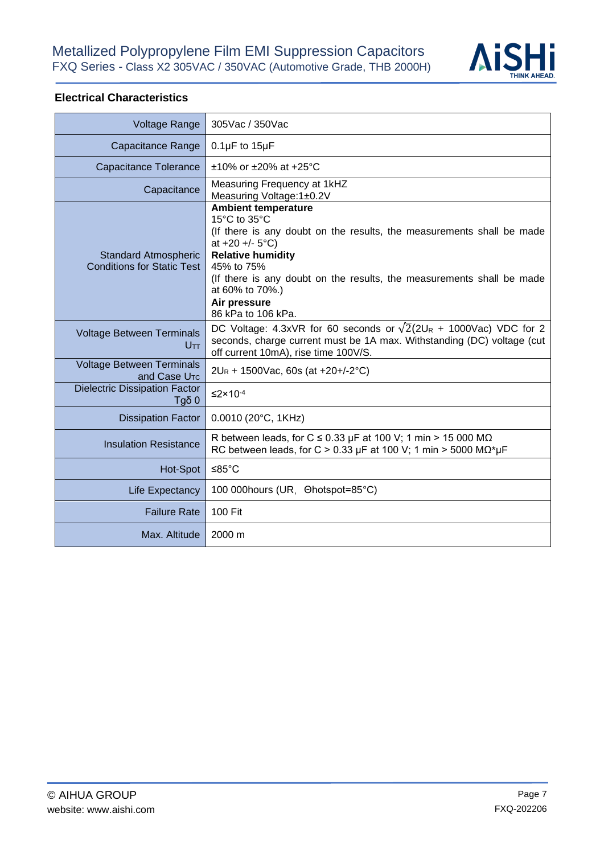

### **Electrical Characteristics**

| Voltage Range                                                    | 305Vac / 350Vac                                                                                                                                                                                                                                                                                                       |
|------------------------------------------------------------------|-----------------------------------------------------------------------------------------------------------------------------------------------------------------------------------------------------------------------------------------------------------------------------------------------------------------------|
| Capacitance Range                                                | $0.1\mu$ F to $15\mu$ F                                                                                                                                                                                                                                                                                               |
| Capacitance Tolerance                                            | $±10\%$ or $±20\%$ at $+25\degree$ C                                                                                                                                                                                                                                                                                  |
| Capacitance                                                      | Measuring Frequency at 1kHZ<br>Measuring Voltage: 1±0.2V                                                                                                                                                                                                                                                              |
| <b>Standard Atmospheric</b><br><b>Conditions for Static Test</b> | <b>Ambient temperature</b><br>15°C to 35°C<br>(If there is any doubt on the results, the measurements shall be made<br>at $+20 + (-5$ °C)<br><b>Relative humidity</b><br>45% to 75%<br>(If there is any doubt on the results, the measurements shall be made<br>at 60% to 70%.)<br>Air pressure<br>86 kPa to 106 kPa. |
| <b>Voltage Between Terminals</b><br><b>U</b> TT                  | DC Voltage: 4.3xVR for 60 seconds or $\sqrt{2}(2U_R + 1000\text{Vac})$ VDC for 2<br>seconds, charge current must be 1A max. Withstanding (DC) voltage (cut<br>off current 10mA), rise time 100V/S.                                                                                                                    |
| <b>Voltage Between Terminals</b><br>and Case U <sub>TC</sub>     | $2U_R$ + 1500Vac, 60s (at +20+/-2°C)                                                                                                                                                                                                                                                                                  |
| <b>Dielectric Dissipation Factor</b><br>$T$ gδ 0                 | $\leq$ 2×10 <sup>-4</sup>                                                                                                                                                                                                                                                                                             |
| <b>Dissipation Factor</b>                                        | $0.0010$ (20 $^{\circ}$ C, 1KHz)                                                                                                                                                                                                                                                                                      |
| <b>Insulation Resistance</b>                                     | R between leads, for C $\leq$ 0.33 µF at 100 V; 1 min > 15 000 M $\Omega$<br>RC between leads, for C > 0.33 µF at 100 V; 1 min > 5000 MQ*µF                                                                                                                                                                           |
| Hot-Spot                                                         | ≤85 $°C$                                                                                                                                                                                                                                                                                                              |
| Life Expectancy                                                  | 100 000hours (UR, Ohotspot=85°C)                                                                                                                                                                                                                                                                                      |
| <b>Failure Rate</b>                                              | 100 Fit                                                                                                                                                                                                                                                                                                               |
| Max. Altitude                                                    | 2000 m                                                                                                                                                                                                                                                                                                                |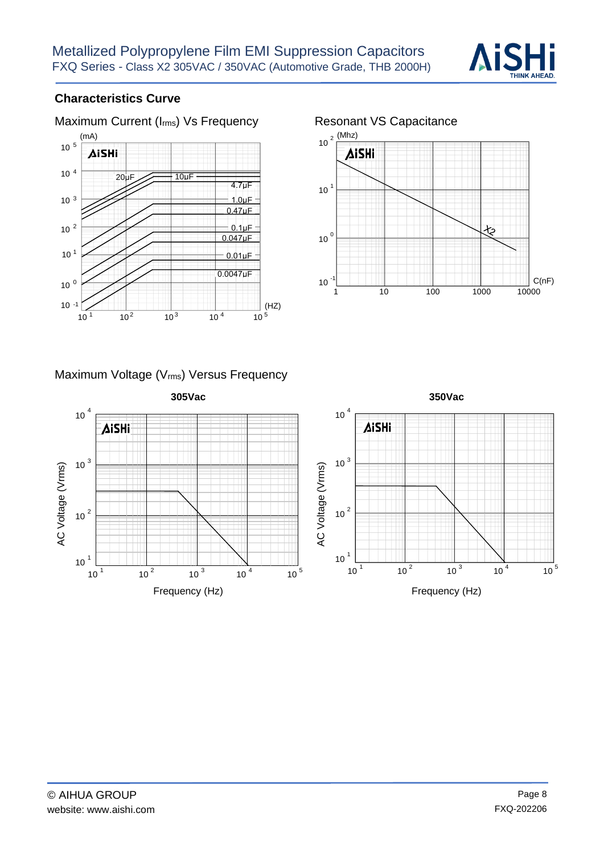

## **Characteristics Curve**





### Maximum Voltage (Vrms) Versus Frequency

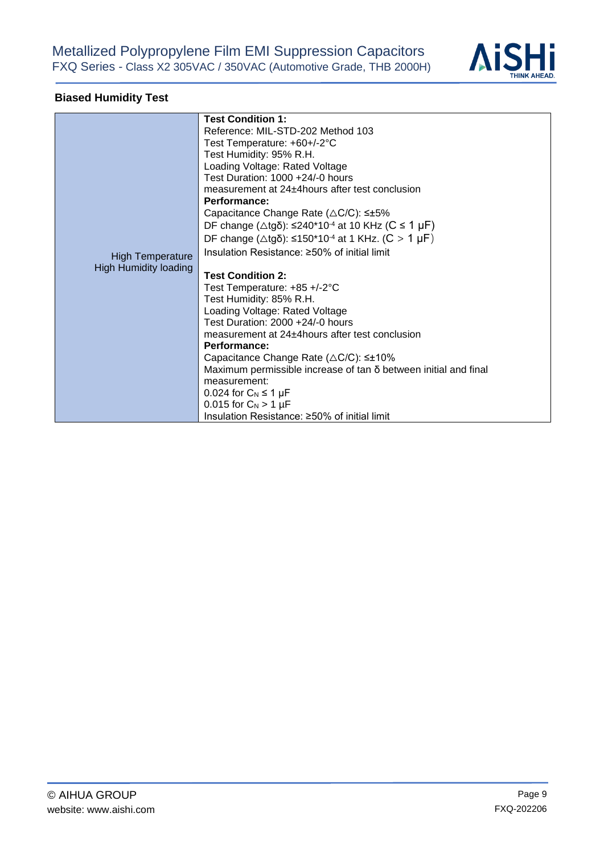

# **Biased Humidity Test**

|                              | <b>Test Condition 1:</b>                                                 |  |  |  |  |
|------------------------------|--------------------------------------------------------------------------|--|--|--|--|
|                              | Reference: MIL-STD-202 Method 103                                        |  |  |  |  |
|                              | Test Temperature: +60+/-2°C                                              |  |  |  |  |
|                              | Test Humidity: 95% R.H.                                                  |  |  |  |  |
|                              | Loading Voltage: Rated Voltage                                           |  |  |  |  |
|                              | Test Duration: 1000 +24/-0 hours                                         |  |  |  |  |
|                              | measurement at 24±4hours after test conclusion                           |  |  |  |  |
|                              | <b>Performance:</b>                                                      |  |  |  |  |
|                              | Capacitance Change Rate ( $\triangle$ C/C): $\leq \pm 5\%$               |  |  |  |  |
|                              | DF change ( $\triangle$ tgδ): ≤240*10 <sup>-4</sup> at 10 KHz (C ≤ 1 µF) |  |  |  |  |
|                              | DF change (Δtgδ): ≤150*10 <sup>-4</sup> at 1 KHz. (C > 1 μF)             |  |  |  |  |
| <b>High Temperature</b>      | Insulation Resistance: $\geq$ 50% of initial limit                       |  |  |  |  |
| <b>High Humidity loading</b> |                                                                          |  |  |  |  |
|                              | <b>Test Condition 2:</b>                                                 |  |  |  |  |
|                              | Test Temperature: +85 +/-2°C                                             |  |  |  |  |
|                              | Test Humidity: 85% R.H.                                                  |  |  |  |  |
|                              | Loading Voltage: Rated Voltage                                           |  |  |  |  |
|                              | Test Duration: 2000 +24/-0 hours                                         |  |  |  |  |
|                              | measurement at 24±4 hours after test conclusion                          |  |  |  |  |
|                              | Performance:                                                             |  |  |  |  |
|                              | Capacitance Change Rate $(\triangle C/C)$ : $\leq \pm 10\%$              |  |  |  |  |
|                              | Maximum permissible increase of tan δ between initial and final          |  |  |  |  |
|                              | measurement:                                                             |  |  |  |  |
|                              | 0.024 for $C_N \leq 1 \mu F$                                             |  |  |  |  |
|                              | 0.015 for $C_N > 1 \mu F$                                                |  |  |  |  |
|                              | Insulation Resistance: ≥50% of initial limit                             |  |  |  |  |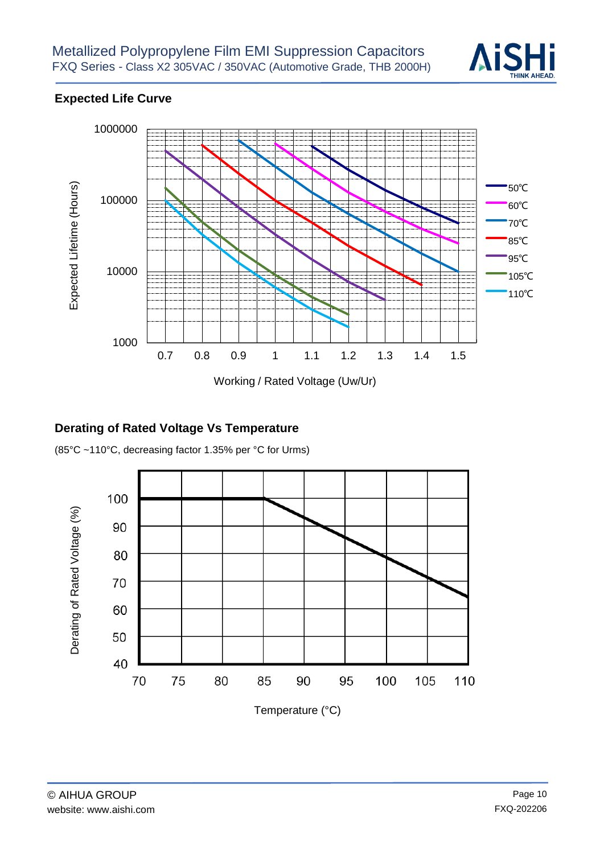

# **Expected Life Curve**



## **Derating of Rated Voltage Vs Temperature**

(85°C ~110°C, decreasing factor 1.35% per °C for Urms)

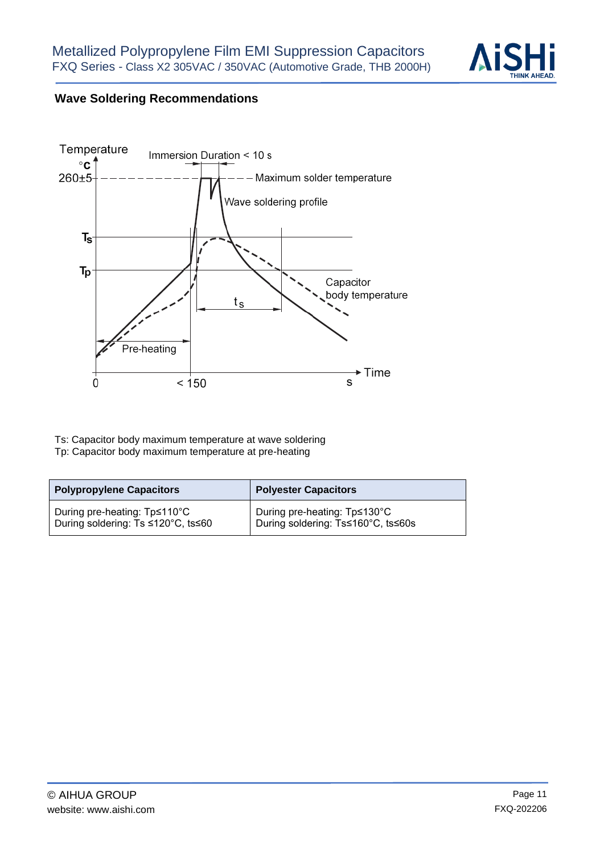

# **Wave Soldering Recommendations**



Ts: Capacitor body maximum temperature at wave soldering Tp: Capacitor body maximum temperature at pre-heating

| <b>Polypropylene Capacitors</b>    | <b>Polyester Capacitors</b>        |  |  |
|------------------------------------|------------------------------------|--|--|
| During pre-heating: Tp≤110°C       | During pre-heating: Tp≤130°C       |  |  |
| During soldering: Ts ≤120°C, ts≤60 | During soldering: Ts≤160°C, ts≤60s |  |  |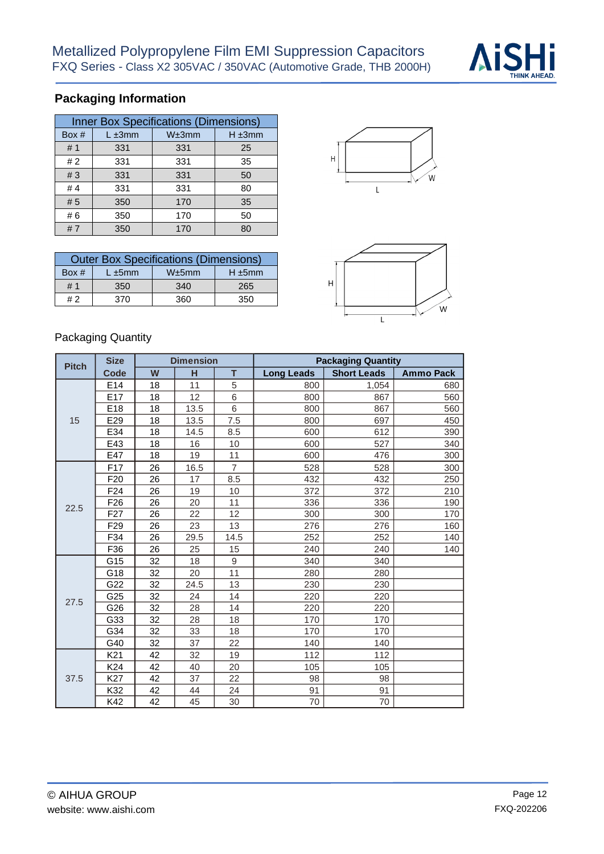

# **Packaging Information**

| <b>Inner Box Specifications (Dimensions)</b> |              |       |             |  |  |  |  |
|----------------------------------------------|--------------|-------|-------------|--|--|--|--|
| Box #                                        | $L \pm 3$ mm | W±3mm | $H \pm 3mm$ |  |  |  |  |
| #1                                           | 331          | 331   | 25          |  |  |  |  |
| #2                                           | 331          | 331   | 35          |  |  |  |  |
| #3                                           | 331          | 331   | 50          |  |  |  |  |
| # $4$                                        | 331          | 331   | 80          |  |  |  |  |
| #5                                           | 350          | 170   | 35          |  |  |  |  |
| #6                                           | 350          | 170   | 50          |  |  |  |  |
| #7                                           | 350          | 170   | 80          |  |  |  |  |

| <b>Outer Box Specifications (Dimensions)</b> |              |       |              |  |  |  |
|----------------------------------------------|--------------|-------|--------------|--|--|--|
| Box #                                        | $L \pm 5$ mm | W±5mm | $H \pm 5$ mm |  |  |  |
| # 1                                          | 350          | 340   | 265          |  |  |  |
| #2                                           | 370          | 360   | 350          |  |  |  |





#### Packaging Quantity

| <b>Pitch</b> | <b>Size</b>     | <b>Dimension</b> |      |                | <b>Packaging Quantity</b> |                    |                  |  |
|--------------|-----------------|------------------|------|----------------|---------------------------|--------------------|------------------|--|
|              | Code            | W                | н    | T              | <b>Long Leads</b>         | <b>Short Leads</b> | <b>Ammo Pack</b> |  |
| 15           | E14             | 18               | 11   | 5              | 800                       | 1,054              | 680              |  |
|              | E <sub>17</sub> | 18               | 12   | 6              | 800                       | 867                | 560              |  |
|              | E18             | 18               | 13.5 | 6              | 800                       | 867                | 560              |  |
|              | E29             | 18               | 13.5 | 7.5            | 800                       | 697                | 450              |  |
|              | E34             | 18               | 14.5 | 8.5            | 600                       | 612                | 390              |  |
|              | E43             | 18               | 16   | 10             | 600                       | 527                | 340              |  |
|              | E47             | 18               | 19   | 11             | 600                       | 476                | 300              |  |
|              | F <sub>17</sub> | 26               | 16.5 | $\overline{7}$ | 528                       | 528                | 300              |  |
|              | F <sub>20</sub> | 26               | 17   | 8.5            | 432                       | 432                | 250              |  |
|              | F <sub>24</sub> | 26               | 19   | 10             | 372                       | 372                | 210              |  |
| 22.5         | F <sub>26</sub> | 26               | 20   | 11             | 336                       | 336                | 190              |  |
|              | F <sub>27</sub> | 26               | 22   | 12             | 300                       | 300                | 170              |  |
|              | F <sub>29</sub> | 26               | 23   | 13             | 276                       | 276                | 160              |  |
|              | F34             | 26               | 29.5 | 14.5           | 252                       | 252                | 140              |  |
|              | F36             | 26               | 25   | 15             | 240                       | 240                | 140              |  |
|              | G15             | 32               | 18   | 9              | 340                       | 340                |                  |  |
|              | G18             | 32               | 20   | 11             | 280                       | 280                |                  |  |
|              | G22             | 32               | 24.5 | 13             | 230                       | 230                |                  |  |
| 27.5         | G25             | 32               | 24   | 14             | 220                       | 220                |                  |  |
|              | G26             | 32               | 28   | 14             | 220                       | 220                |                  |  |
|              | G33             | 32               | 28   | 18             | 170                       | 170                |                  |  |
|              | G34             | 32               | 33   | 18             | 170                       | 170                |                  |  |
|              | G40             | 32               | 37   | 22             | 140                       | 140                |                  |  |
|              | K <sub>21</sub> | 42               | 32   | 19             | 112                       | 112                |                  |  |
|              | K <sub>24</sub> | 42               | 40   | 20             | 105                       | 105                |                  |  |
| 37.5         | K27             | 42               | 37   | 22             | 98                        | 98                 |                  |  |
|              | K32             | 42               | 44   | 24             | 91                        | 91                 |                  |  |
|              | K42             | 42               | 45   | 30             | 70                        | 70                 |                  |  |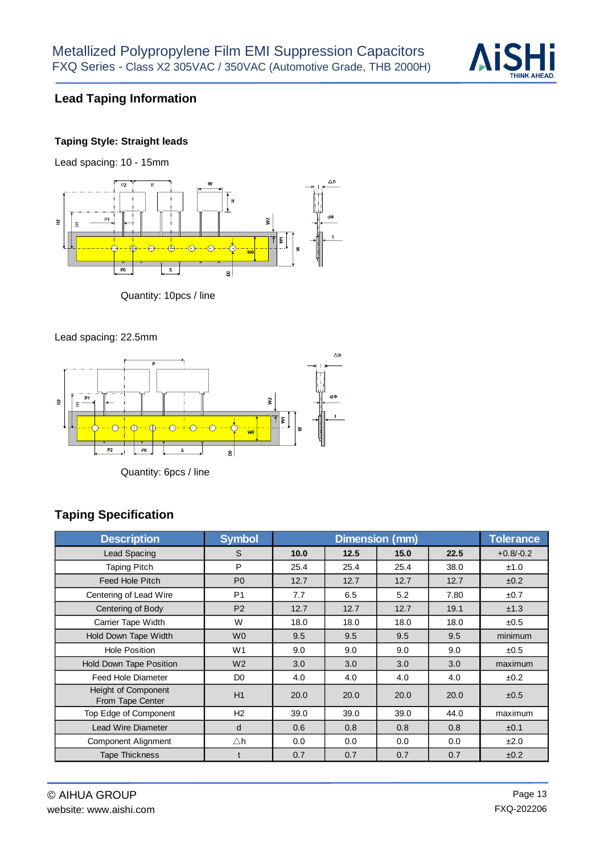

## **Lead Taping Information**

#### **Taping Style: Straight leads**

Lead spacing: 10 - 15mm



#### Quantity: 10pcs / line

#### Lead spacing: 22.5mm



Quantity: 6pcs / line

## **Taping Specification**

| <b>Description</b>                             | <b>Symbol</b>  |      | <b>Tolerance</b> |      |      |             |
|------------------------------------------------|----------------|------|------------------|------|------|-------------|
| Lead Spacing                                   | S              | 10.0 | 12.5             | 15.0 | 22.5 | $+0.8/-0.2$ |
| <b>Taping Pitch</b>                            | P              | 25.4 | 25.4             | 25.4 | 38.0 | ±1.0        |
| <b>Feed Hole Pitch</b>                         | P <sub>0</sub> | 12.7 | 12.7             | 12.7 | 12.7 | ±0.2        |
| Centering of Lead Wire                         | P <sub>1</sub> | 7.7  | 6.5              | 5.2  | 7.80 | ±0.7        |
| Centering of Body                              | P <sub>2</sub> | 12.7 | 12.7             | 12.7 | 19.1 | ±1.3        |
| Carrier Tape Width                             | W              | 18.0 | 18.0             | 18.0 | 18.0 | ±0.5        |
| Hold Down Tape Width                           | W <sub>0</sub> | 9.5  | 9.5              | 9.5  | 9.5  | minimum     |
| <b>Hole Position</b>                           | W <sub>1</sub> | 9.0  | 9.0              | 9.0  | 9.0  | ±0.5        |
| Hold Down Tape Position                        | W <sub>2</sub> | 3.0  | 3.0              | 3.0  | 3.0  | maximum     |
| Feed Hole Diameter                             | D <sub>0</sub> | 4.0  | 4.0              | 4.0  | 4.0  | ±0.2        |
| <b>Height of Component</b><br>From Tape Center | H1             | 20.0 | 20.0             | 20.0 | 20.0 | ±0.5        |
| Top Edge of Component                          | H2             | 39.0 | 39.0             | 39.0 | 44.0 | maximum     |
| <b>Lead Wire Diameter</b>                      | d              | 0.6  | 0.8              | 0.8  | 0.8  | ±0.1        |
| Component Alignment                            | $\triangle$ h  | 0.0  | 0.0              | 0.0  | 0.0  | ±2.0        |
| <b>Tape Thickness</b>                          |                | 0.7  | 0.7              | 0.7  | 0.7  | ±0.2        |